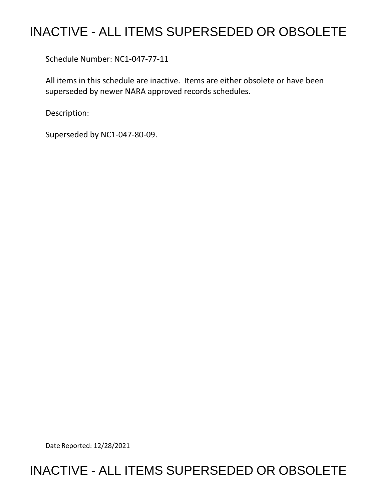## INACTIVE - ALL ITEMS SUPERSEDED OR OBSOLETE

Schedule Number: NC1-047-77-11

 All items in this schedule are inactive. Items are either obsolete or have been superseded by newer NARA approved records schedules.

Description:

Superseded by NC1-047-80-09.

Date Reported: 12/28/2021

## INACTIVE - ALL ITEMS SUPERSEDED OR OBSOLETE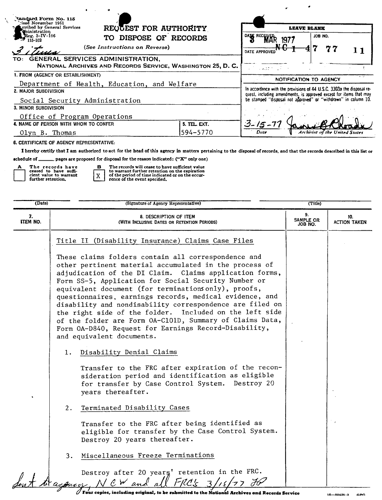| tandard Form No. 115<br>ised November 1951 <sup>.</sup><br>REQUEST FOR AUTHORITY<br>ucribed by General Services<br>ministration             |                          | <b>LEAVE BLANK</b>                                                                                                                                                                                                                       |                                |  |
|---------------------------------------------------------------------------------------------------------------------------------------------|--------------------------|------------------------------------------------------------------------------------------------------------------------------------------------------------------------------------------------------------------------------------------|--------------------------------|--|
| eg. 3–IV–106<br>DISPOSE OF RECORDS<br>TO.<br>(See Instructions on Reverse)                                                                  |                          | DATE RECEIVE<br>1977<br>DATE APPROVED                                                                                                                                                                                                    | JOB NO.<br>77                  |  |
| GENERAL SERVICES ADMINISTRATION,<br>TO:<br>NATIONAL ARCHIVES AND RECORDS SERVICE, WASHINGTON 25, D. C.<br>1. FROM (AGENCY OR ESTABLISHMENT) |                          | $\mathcal{F}^{\mathcal{G}}$ , with $\mathcal{F}^{\mathcal{G}}$ , i.e.,                                                                                                                                                                   |                                |  |
| Department of Health, Education, and Welfare<br>2. MAJOR SUBDIVISION<br>Social Security Administration                                      |                          | NOTIFICATION TO AGENCY<br>In accordance with the provisions of 44 U.S.C. 3303a the disposal re-<br>quest, including amendments, is approved except for items that may<br>be stamped "disposal not approved" or "withdrawn" in column 10. |                                |  |
| 3. MINOR SUBDIVISION<br>Office of Program Operations                                                                                        |                          |                                                                                                                                                                                                                                          |                                |  |
| 4. NAME OF PERSON WITH WHOM TO CONFER<br>Olyn B. Thomas                                                                                     | 5. TEL. EXT.<br>594-5770 | $3 - 15 - 7$<br>Date                                                                                                                                                                                                                     | Archivist of the United States |  |

6. CERTIFICATE OF AGENCY REPRESENTATIVE:

I hereby certify that I am authorized to act for the head of this agency in matters pertaining to the disposal of records, and that the records described in this list or

schedule of \_\_\_\_\_\_\_ pages are proposed for disposal for the reason indicated: ("X" only one)

 $\mathbf{x}$ 

| А | The records have                             |
|---|----------------------------------------------|
|   | ceased to have suffi-                        |
|   | cient value to warrant<br>further retention. |
|   |                                              |

 $\lambda$ 

 $\mathbf{B}$ The records will cease to have sufficient value<br>to warnant further retention on the expiration<br>of the period of time indicated or on the occur-<br>rence of the event specified,

| (Date)         | (Signature of Agency Representative)                                                                                                                                                                                                                                                                                                                                                                                                                                                                                                                                                                                         | (Title)                    |                            |
|----------------|------------------------------------------------------------------------------------------------------------------------------------------------------------------------------------------------------------------------------------------------------------------------------------------------------------------------------------------------------------------------------------------------------------------------------------------------------------------------------------------------------------------------------------------------------------------------------------------------------------------------------|----------------------------|----------------------------|
| 7.<br>ITEM NO. | 8. DESCRIPTION OF ITEM<br>(WITH INCLUSIVE DATES OR RETENTION PERIODS)                                                                                                                                                                                                                                                                                                                                                                                                                                                                                                                                                        | 9.<br>SAMPLE OR<br>JOB NO. | 10.<br><b>ACTION TAKEN</b> |
|                | Title II (Disability Insurance) Claims Case Files                                                                                                                                                                                                                                                                                                                                                                                                                                                                                                                                                                            |                            |                            |
|                | These claims folders contain all correspondence and<br>other pertinent material accumulated in the process of<br>adjudication of the DI Claim. Claims application forms,<br>Form SS-5, Application for Social Security Number or<br>equivalent document (for terminations only), proofs,<br>questionnaires, earnings records, medical evidence, and<br>disability and nondisability correspondence are filed on<br>the right side of the folder. Included on the left side<br>of the folder are Form OA-C101D, Summary of Claims Data,<br>Form OA-D840, Request for Earnings Record-Disability,<br>and equivalent documents. |                            |                            |
|                | Disability Denial Claims<br>1.                                                                                                                                                                                                                                                                                                                                                                                                                                                                                                                                                                                               |                            |                            |
|                | Transfer to the FRC after expiration of the recon-<br>sideration period and identification as eligible<br>for transfer by Case Control System. Destroy 20<br>years thereafter.                                                                                                                                                                                                                                                                                                                                                                                                                                               |                            |                            |
|                | Terminated Disability Cases<br>2.                                                                                                                                                                                                                                                                                                                                                                                                                                                                                                                                                                                            |                            |                            |
|                | Transfer to the FRC after being identified as<br>eligible for transfer by the Case Control System.<br>Destroy 20 years thereafter.                                                                                                                                                                                                                                                                                                                                                                                                                                                                                           |                            |                            |
|                | Miscellaneous Freeze Terminations<br>3.                                                                                                                                                                                                                                                                                                                                                                                                                                                                                                                                                                                      |                            |                            |
|                | Destroy after 20 years' retention in the FRC.<br>to a page )<br>CW and all<br>FRC's                                                                                                                                                                                                                                                                                                                                                                                                                                                                                                                                          |                            |                            |

Four copies, including original, to be submitted to the National Archives and Records Service